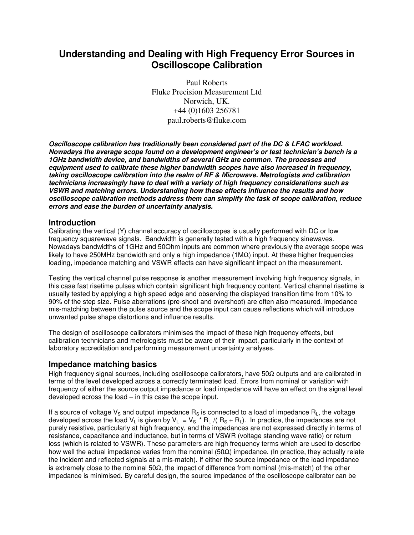# **Understanding and Dealing with High Frequency Error Sources in Oscilloscope Calibration**

Paul Roberts Fluke Precision Measurement Ltd Norwich, UK. +44 (0)1603 256781 paul.roberts@fluke.com

*Oscilloscope calibration has traditionally been considered part of the DC & LFAC workload. Nowadays the average scope found on a development engineer's or test technician's bench is a 1GHz bandwidth device, and bandwidths of several GHz are common. The processes and equipment used to calibrate these higher bandwidth scopes have also increased in frequency, taking oscilloscope calibration into the realm of RF & Microwave. Metrologists and calibration technicians increasingly have to deal with a variety of high frequency considerations such as VSWR and matching errors. Understanding how these effects influence the results and how oscilloscope calibration methods address them can simplify the task of scope calibration, reduce errors and ease the burden of uncertainty analysis.*

### **Introduction**

Calibrating the vertical (Y) channel accuracy of oscilloscopes is usually performed with DC or low frequency squarewave signals. Bandwidth is generally tested with a high frequency sinewaves. Nowadays bandwidths of 1GHz and 50Ohm inputs are common where previously the average scope was likely to have 250MHz bandwidth and only a high impedance (1MΩ) input. At these higher frequencies loading, impedance matching and VSWR effects can have significant impact on the measurement.

Testing the vertical channel pulse response is another measurement involving high frequency signals, in this case fast risetime pulses which contain significant high frequency content. Vertical channel risetime is usually tested by applying a high speed edge and observing the displayed transition time from 10% to 90% of the step size. Pulse aberrations (pre-shoot and overshoot) are often also measured. Impedance mis-matching between the pulse source and the scope input can cause reflections which will introduce unwanted pulse shape distortions and influence results.

The design of oscilloscope calibrators minimises the impact of these high frequency effects, but calibration technicians and metrologists must be aware of their impact, particularly in the context of laboratory accreditation and performing measurement uncertainty analyses.

### **Impedance matching basics**

High frequency signal sources, including oscilloscope calibrators, have 50Ω outputs and are calibrated in terms of the level developed across a correctly terminated load. Errors from nominal or variation with frequency of either the source output impedance or load impedance will have an effect on the signal level developed across the load – in this case the scope input.

If a source of voltage  $V_S$  and output impedance  $R_S$  is connected to a load of impedance  $R_L$ , the voltage developed across the load V<sub>L</sub> is given by V<sub>L</sub> = V<sub>S</sub> \* R<sub>L</sub> /( R<sub>S</sub> + R<sub>L</sub>). In practice, the impedances are not purely resistive, particularly at high frequency, and the impedances are not expressed directly in terms of resistance, capacitance and inductance, but in terms of VSWR (voltage standing wave ratio) or return loss (which is related to VSWR). These parameters are high frequency terms which are used to describe how well the actual impedance varies from the nominal (50Ω) impedance. (In practice, they actually relate the incident and reflected signals at a mis-match). If either the source impedance or the load impedance is extremely close to the nominal 50 $\Omega$ , the impact of difference from nominal (mis-match) of the other impedance is minimised. By careful design, the source impedance of the oscilloscope calibrator can be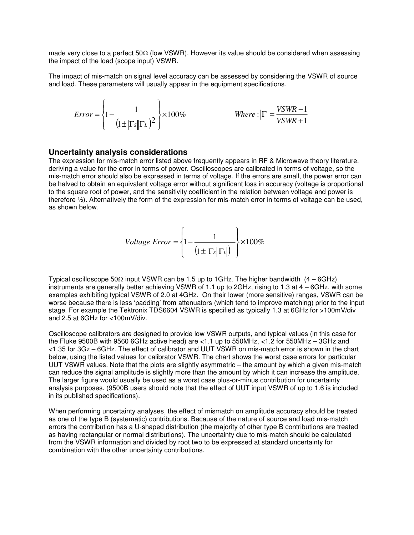made very close to a perfect 50Ω (low VSWR). However its value should be considered when assessing the impact of the load (scope input) VSWR.

The impact of mis-match on signal level accuracy can be assessed by considering the VSWR of source and load. These parameters will usually appear in the equipment specifications.

$$
Error = \left\{1 - \frac{1}{\left(1 \pm |\Gamma s| |\Gamma l|\right)^2}\right\} \times 100\% \qquad \text{Where :} |\Gamma| = \frac{VSWR - 1}{VSWR + 1}
$$

#### **Uncertainty analysis considerations**

The expression for mis-match error listed above frequently appears in RF & Microwave theory literature, deriving a value for the error in terms of power. Oscilloscopes are calibrated in terms of voltage, so the mis-match error should also be expressed in terms of voltage. If the errors are small, the power error can be halved to obtain an equivalent voltage error without significant loss in accuracy (voltage is proportional to the square root of power, and the sensitivity coefficient in the relation between voltage and power is therefore ½). Alternatively the form of the expression for mis-match error in terms of voltage can be used, as shown below.

$$
Voltage Error = \left\{1 - \frac{1}{\left(1 \pm |\Gamma s| |\Gamma L|\right)}\right\} \times 100\%
$$

Typical oscilloscope 50 $\Omega$  input VSWR can be 1.5 up to 1GHz. The higher bandwidth (4 – 6GHz) instruments are generally better achieving VSWR of 1.1 up to 2GHz, rising to 1.3 at 4 – 6GHz, with some examples exhibiting typical VSWR of 2.0 at 4GHz. On their lower (more sensitive) ranges, VSWR can be worse because there is less 'padding' from attenuators (which tend to improve matching) prior to the input stage. For example the Tektronix TDS6604 VSWR is specified as typically 1.3 at 6GHz for >100mV/div and 2.5 at 6GHz for <100mV/div.

Oscilloscope calibrators are designed to provide low VSWR outputs, and typical values (in this case for the Fluke 9500B with 9560 6GHz active head) are <1.1 up to 550MHz, <1.2 for 550MHz – 3GHz and <1.35 for 3Gz – 6GHz. The effect of calibrator and UUT VSWR on mis-match error is shown in the chart below, using the listed values for calibrator VSWR. The chart shows the worst case errors for particular UUT VSWR values. Note that the plots are slightly asymmetric – the amount by which a given mis-match can reduce the signal amplitude is slightly more than the amount by which it can increase the amplitude. The larger figure would usually be used as a worst case plus-or-minus contribution for uncertainty analysis purposes. (9500B users should note that the effect of UUT input VSWR of up to 1.6 is included in its published specifications).

When performing uncertainty analyses, the effect of mismatch on amplitude accuracy should be treated as one of the type B (systematic) contributions. Because of the nature of source and load mis-match errors the contribution has a U-shaped distribution (the majority of other type B contributions are treated as having rectangular or normal distributions). The uncertainty due to mis-match should be calculated from the VSWR information and divided by root two to be expressed at standard uncertainty for combination with the other uncertainty contributions.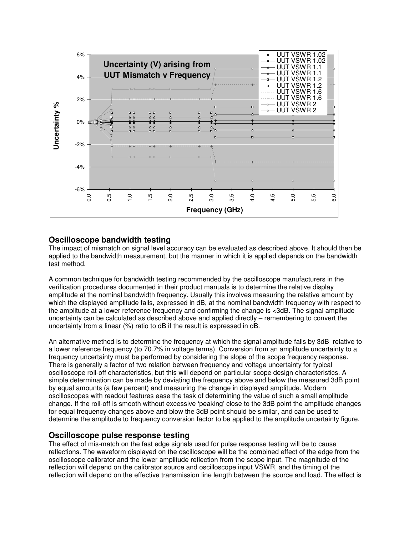

## **Oscilloscope bandwidth testing**

The impact of mismatch on signal level accuracy can be evaluated as described above. It should then be applied to the bandwidth measurement, but the manner in which it is applied depends on the bandwidth test method.

A common technique for bandwidth testing recommended by the oscilloscope manufacturers in the verification procedures documented in their product manuals is to determine the relative display amplitude at the nominal bandwidth frequency. Usually this involves measuring the relative amount by which the displayed amplitude falls, expressed in dB, at the nominal bandwidth frequency with respect to the amplitude at a lower reference frequency and confirming the change is <3dB. The signal amplitude uncertainty can be calculated as described above and applied directly – remembering to convert the uncertainty from a linear (%) ratio to dB if the result is expressed in dB.

An alternative method is to determine the frequency at which the signal amplitude falls by 3dB relative to a lower reference frequency (to 70.7% in voltage terms). Conversion from an amplitude uncertainty to a frequency uncertainty must be performed by considering the slope of the scope frequency response. There is generally a factor of two relation between frequency and voltage uncertainty for typical oscilloscope roll-off characteristics, but this will depend on particular scope design characteristics. A simple determination can be made by deviating the frequency above and below the measured 3dB point by equal amounts (a few percent) and measuring the change in displayed amplitude. Modern oscilloscopes with readout features ease the task of determining the value of such a small amplitude change. If the roll-off is smooth without excessive 'peaking' close to the 3dB point the amplitude changes for equal frequency changes above and blow the 3dB point should be similar, and can be used to determine the amplitude to frequency conversion factor to be applied to the amplitude uncertainty figure.

### **Oscilloscope pulse response testing**

The effect of mis-match on the fast edge signals used for pulse response testing will be to cause reflections. The waveform displayed on the oscilloscope will be the combined effect of the edge from the oscilloscope calibrator and the lower amplitude reflection from the scope input. The magnitude of the reflection will depend on the calibrator source and oscilloscope input VSWR, and the timing of the reflection will depend on the effective transmission line length between the source and load. The effect is